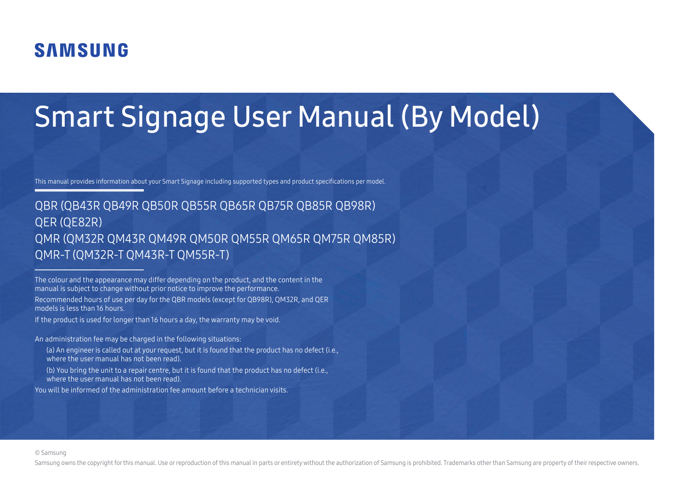# **SAMSUNG**

# Smart Signage User Manual (By Model)

This manual provides information about your Smart Signage including supported types and product specifications per model.

### QBR (QB43R QB49R QB50R QB55R QB65R QB75R QB85R QB98R) QER (QE82R) QMR (QM32R QM43R QM49R QM50R QM55R QM65R QM75R QM85R) QMR-T (QM32R-T QM43R-T QM55R-T)

The colour and the appearance may differ depending on the product, and the content in the manual is subject to change without prior notice to improve the performance.

Recommended hours of use per day for the QBR models (except for QB98R), QM32R, and QER models is less than 16 hours.

If the product is used for longer than 16 hours a day, the warranty may be void.

An administration fee may be charged in the following situations:

- (a) An engineer is called out at your request, but it is found that the product has no defect (i.e., where the user manual has not been read).
- (b) You bring the unit to a repair centre, but it is found that the product has no defect (i.e., where the user manual has not been read).

You will be informed of the administration fee amount before a technician visits.

#### © Samsung

Samsung owns the copyright for this manual. Use or reproduction of this manual in parts or entirety without the authorization of Samsung is prohibited. Trademarks other than Samsung are property of their respective owners.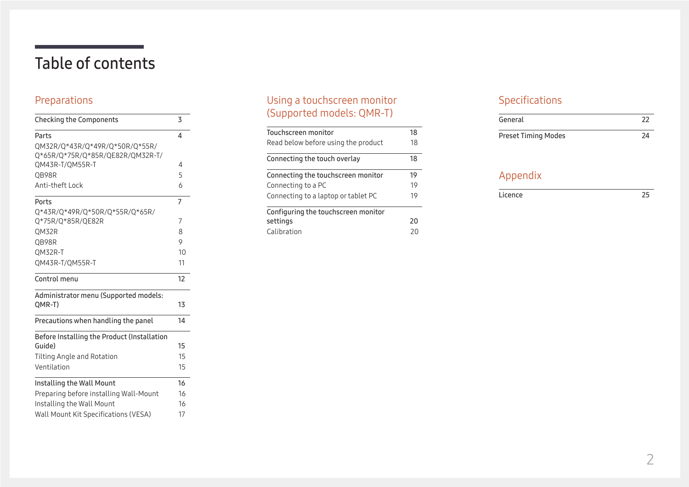# Table of contents

### [Preparations](#page-2-0)

| <b>Checking the Components</b>                      | 3  |
|-----------------------------------------------------|----|
| Parts                                               | 4  |
| QM32R/Q*43R/Q*49R/Q*50R/Q*55R/                      |    |
| Q*65R/Q*75R/Q*85R/QE82R/QM32R-T/<br>QM43R-T/QM55R-T | 4  |
| QB98R                                               | 5  |
| Anti-theft Lock                                     | 6  |
| Ports                                               | 7  |
| Q*43R/Q*49R/Q*50R/Q*55R/Q*65R/                      |    |
| Q*75R/Q*85R/QE82R                                   | 7  |
| QM32R                                               | 8  |
| OB98R                                               | 9  |
| QM32R-T                                             | 10 |
| QM43R-T/QM55R-T                                     | 11 |
| Control menu                                        | 12 |
| Administrator menu (Supported models:               |    |
| QMR-T)                                              | 13 |
| Precautions when handling the panel                 | 14 |
| Before Installing the Product (Installation         |    |
| Guide)                                              | 15 |
| Tilting Angle and Rotation                          | 15 |
| Ventilation                                         | 15 |
| Installing the Wall Mount                           | 16 |
| Preparing before installing Wall-Mount              | 16 |
| Installing the Wall Mount                           | 16 |
| Wall Mount Kit Specifications (VESA)                | 17 |

### [Using a touchscreen monitor](#page-17-0)  [\(Supported models: QMR](#page-17-0) - T )

| Touchscreen monitor                 | 18 |
|-------------------------------------|----|
| Read below before using the product | 18 |
| Connecting the touch overlay        | 18 |
| Connecting the touchscreen monitor  | 19 |
| Connecting to a PC                  | 19 |
| Connecting to a laptop or tablet PC | 19 |
| Configuring the touchscreen monitor |    |
| settings                            | 20 |
| Calibration                         | 20 |

### [Specifications](#page-21-0)

| General                    |    |
|----------------------------|----|
| <b>Preset Timing Modes</b> | 24 |

### [Appendix](#page-24-0)

| icence |  |
|--------|--|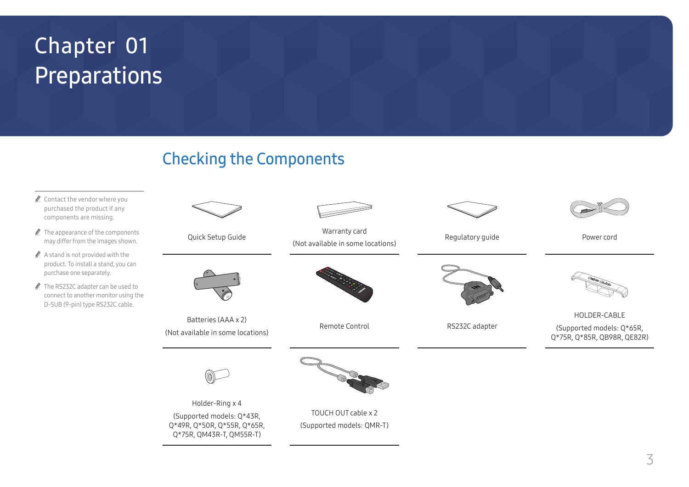# <span id="page-2-0"></span>Preparations Chapter 01

## Checking the Components

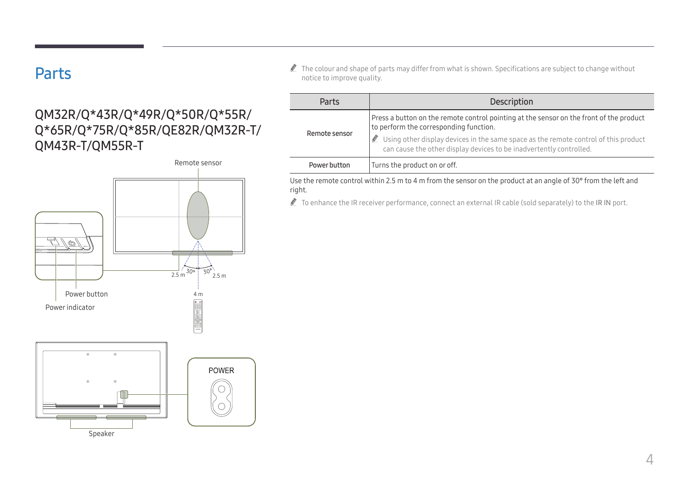### <span id="page-3-0"></span>Parts

### QM32R/Q\*43R/Q\*49R/Q\*50R/Q\*55R/ Q\*65R/Q\*75R/Q\*85R/QE82R/QM32R-T/ QM43R-T/QM55R-T



 $\triangle$  The colour and shape of parts may differ from what is shown. Specifications are subject to change without notice to improve quality.

| Parts         | Description                                                                                                                                                                                                                                                                                     |
|---------------|-------------------------------------------------------------------------------------------------------------------------------------------------------------------------------------------------------------------------------------------------------------------------------------------------|
| Remote sensor | Press a button on the remote control pointing at the sensor on the front of the product<br>to perform the corresponding function.<br>Using other display devices in the same space as the remote control of this product<br>can cause the other display devices to be inadvertently controlled. |
| Power button  | Turns the product on or off.                                                                                                                                                                                                                                                                    |

Use the remote control within 2.5 m to 4 m from the sensor on the product at an angle of 30° from the left and right.

To enhance the IR receiver performance, connect an external IR cable (sold separately) to the IR IN port.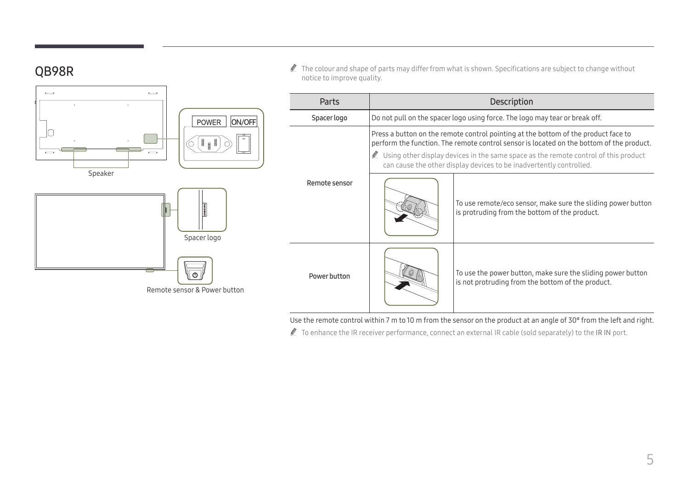### <span id="page-4-0"></span>QB98R



notice to improve quality.

Use the remote control within 7 m to 10 m from the sensor on the product at an angle of 30° from the left and right.

To enhance the IR receiver performance, connect an external IR cable (sold separately) to the IR IN port.

" The colour and shape of parts may differ from what is shown. Specifications are subject to change without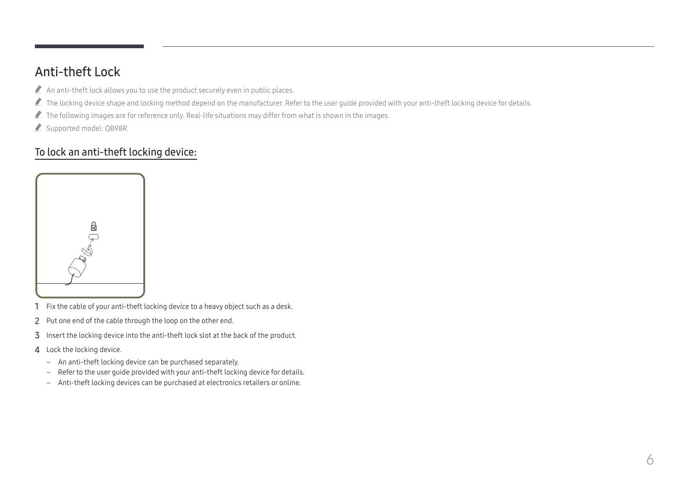### <span id="page-5-0"></span>Anti-theft Lock

- $\triangle$  An anti-theft lock allows you to use the product securely even in public places.
- The locking device shape and locking method depend on the manufacturer. Refer to the user guide provided with your anti-theft locking device for details.
- $\triangle$  The following images are for reference only. Real-life situations may differ from what is shown in the images.
- Supported model: QB98R

### To lock an anti-theft locking device:



- 1 Fix the cable of your anti-theft locking device to a heavy object such as a desk.
- 2 Put one end of the cable through the loop on the other end.
- 3 Insert the locking device into the anti-theft lock slot at the back of the product.
- 4 Lock the locking device.
	- An anti-theft locking device can be purchased separately.
	- Refer to the user guide provided with your anti-theft locking device for details.
	- Anti-theft locking devices can be purchased at electronics retailers or online.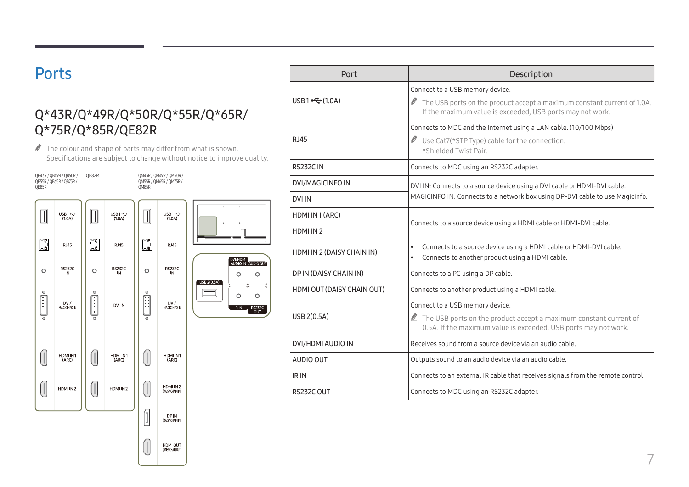### <span id="page-6-0"></span>**Ports**

### Q\*43R/Q\*49R/Q\*50R/Q\*55R/Q\*65R/ Q\*75R/Q\*85R/QE82R

 $\triangle$  The colour and shape of parts may differ from what is shown. Specifications are subject to change without notice to improve quality.

DVI/HDMI

 $\circ$ 

 $\circ$ 

RIN<sub>R</sub>



|                            | Connect to a USB memory device.                                                                                                                  |
|----------------------------|--------------------------------------------------------------------------------------------------------------------------------------------------|
| USB1 $\leftarrow (1.0A)$   | The USB ports on the product accept a maximum constant current of 1.0A.<br>If the maximum value is exceeded, USB ports may not work.             |
|                            | Connects to MDC and the Internet using a LAN cable. (10/100 Mbps)                                                                                |
| <b>RJ45</b>                | Use Cat7(*STP Type) cable for the connection.<br>*Shielded Twist Pair.                                                                           |
| RS232C IN                  | Connects to MDC using an RS232C adapter.                                                                                                         |
| <b>DVI/MAGICINFO IN</b>    | DVI IN: Connects to a source device using a DVI cable or HDMI-DVI cable.                                                                         |
| <b>DVI IN</b>              | MAGICINFO IN: Connects to a network box using DP-DVI cable to use Magicinfo.                                                                     |
| HDMI IN 1 (ARC)            | Connects to a source device using a HDMI cable or HDMI-DVI cable.                                                                                |
| HDMI IN 2                  |                                                                                                                                                  |
| HDMI IN 2 (DAISY CHAIN IN) | Connects to a source device using a HDMI cable or HDMI-DVI cable.<br>$\bullet$<br>Connects to another product using a HDMI cable.<br>$\bullet$   |
| DP IN (DAISY CHAIN IN)     | Connects to a PC using a DP cable.                                                                                                               |
| HDMI OUT (DAISY CHAIN OUT) | Connects to another product using a HDMI cable.                                                                                                  |
|                            | Connect to a USB memory device.                                                                                                                  |
| USB 2(0.5A)                | $\triangle$ The USB ports on the product accept a maximum constant current of<br>0.5A. If the maximum value is exceeded, USB ports may not work. |
| DVI/HDMI AUDIO IN          | Receives sound from a source device via an audio cable.                                                                                          |
| AUDIO OUT                  | Outputs sound to an audio device via an audio cable.                                                                                             |
| IR IN                      | Connects to an external IR cable that receives signals from the remote control.                                                                  |
| RS232C OUT                 | Connects to MDC using an RS232C adapter.                                                                                                         |

Port Description

rable or HDMI-DVI cable. DP-DVI cable to use Magicinfo. or HDMI-DVI cable. aximum constant current of JSB ports may not work. gnals from the remote control.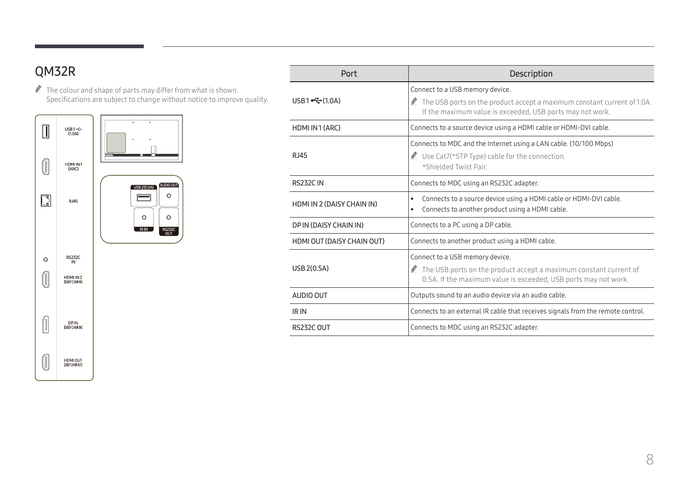### <span id="page-7-0"></span>QM32R

 $\mathbb Z$  The colour and shape of parts may differ from what is shown. Specifications are subject to change without notice to improve quality.



| Port                       | <b>Description</b>                                                                                                                                                                  |  |
|----------------------------|-------------------------------------------------------------------------------------------------------------------------------------------------------------------------------------|--|
| USB1 $\leftarrow (1.0A)$   | Connect to a USB memory device.<br>The USB ports on the product accept a maximum constant current of 1.0A.<br>Ø<br>If the maximum value is exceeded, USB ports may not work.        |  |
| HDMI IN 1 (ARC)            | Connects to a source device using a HDMI cable or HDMI-DVI cable.                                                                                                                   |  |
| R.I45                      | Connects to MDC and the Internet using a LAN cable. (10/100 Mbps)<br>Use Cat7(*STP Type) cable for the connection.<br>*Shielded Twist Pair                                          |  |
| <b>RS232C IN</b>           | Connects to MDC using an RS232C adapter.                                                                                                                                            |  |
| HDMI IN 2 (DAISY CHAIN IN) | Connects to a source device using a HDMI cable or HDMI-DVI cable.<br>$\bullet$<br>Connects to another product using a HDMI cable.<br>$\bullet$                                      |  |
| DP IN (DAISY CHAIN IN)     | Connects to a PC using a DP cable.                                                                                                                                                  |  |
| HDMI OUT (DAISY CHAIN OUT) | Connects to another product using a HDMI cable.                                                                                                                                     |  |
| USB 2(0.5A)                | Connect to a USB memory device.<br>$\triangle$ The USB ports on the product accept a maximum constant current of<br>0.5A. If the maximum value is exceeded, USB ports may not work. |  |
| AUDIO OUT                  | Outputs sound to an audio device via an audio cable.                                                                                                                                |  |
| IR IN                      | Connects to an external IR cable that receives signals from the remote control.                                                                                                     |  |
| RS232C OUT                 | Connects to MDC using an RS232C adapter.                                                                                                                                            |  |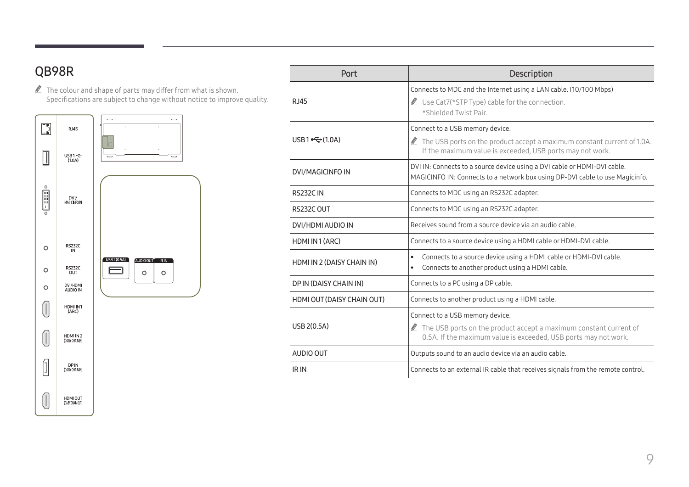### <span id="page-8-0"></span>QB98R

 $\mathbb Z$  The colour and shape of parts may differ from what is shown. Specifications are subject to change without notice to improve quality.



| Port                       | Description                                                                                                                                                                         |  |  |
|----------------------------|-------------------------------------------------------------------------------------------------------------------------------------------------------------------------------------|--|--|
| <b>RJ45</b>                | Connects to MDC and the Internet using a LAN cable. (10/100 Mbps)<br>Use Cat7(*STP Type) cable for the connection.<br>*Shielded Twist Pair                                          |  |  |
| USB1 $\leftarrow (1.0A)$   | Connect to a USB memory device.<br>$\triangle$ The USB ports on the product accept a maximum constant current of 1.0A.<br>If the maximum value is exceeded, USB ports may not work. |  |  |
| DVI/MAGICINFO IN           | DVI IN: Connects to a source device using a DVI cable or HDMI-DVI cable.<br>MAGICINFO IN: Connects to a network box using DP-DVI cable to use Magicinfo.                            |  |  |
| <b>RS232CIN</b>            | Connects to MDC using an RS232C adapter.                                                                                                                                            |  |  |
| RS232C OUT                 | Connects to MDC using an RS232C adapter.                                                                                                                                            |  |  |
| DVI/HDMI AUDIO IN          | Receives sound from a source device via an audio cable.                                                                                                                             |  |  |
| HDMI IN 1 (ARC)            | Connects to a source device using a HDMI cable or HDMI-DVI cable.                                                                                                                   |  |  |
| HDMI IN 2 (DAISY CHAIN IN) | Connects to a source device using a HDMI cable or HDMI-DVI cable.<br>$\bullet$<br>Connects to another product using a HDMI cable.<br>$\bullet$                                      |  |  |
| DP IN (DAISY CHAIN IN)     | Connects to a PC using a DP cable.                                                                                                                                                  |  |  |
| HDMI OUT (DAISY CHAIN OUT) | Connects to another product using a HDMI cable.                                                                                                                                     |  |  |
| USB 2(0.5A)                | Connect to a USB memory device.<br>$\triangle$ The USB ports on the product accept a maximum constant current of<br>0.5A. If the maximum value is exceeded, USB ports may not work. |  |  |
| AUDIO OUT                  | Outputs sound to an audio device via an audio cable.                                                                                                                                |  |  |
| IR IN                      | Connects to an external IR cable that receives signals from the remote control.                                                                                                     |  |  |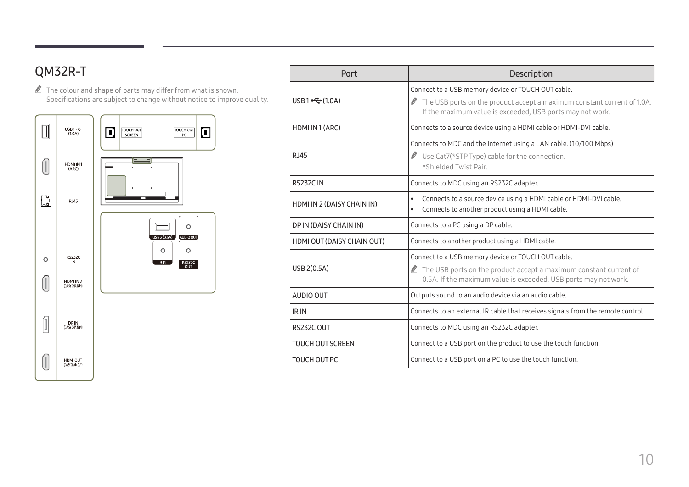### <span id="page-9-0"></span>QM32R-T

 $\mathbb Z$  The colour and shape of parts may differ from what is shown. Specifications are subject to change without notice to improve quality.



| Port                       | <b>Description</b>                                                                                                                               |  |
|----------------------------|--------------------------------------------------------------------------------------------------------------------------------------------------|--|
|                            | Connect to a USB memory device or TOUCH OUT cable.                                                                                               |  |
| USB1 $\leftarrow (1.0A)$   | The USB ports on the product accept a maximum constant current of 1.0A.<br>If the maximum value is exceeded, USB ports may not work.             |  |
| HDMI IN 1 (ARC)            | Connects to a source device using a HDMI cable or HDMI-DVI cable.                                                                                |  |
| <b>RJ45</b>                | Connects to MDC and the Internet using a LAN cable. (10/100 Mbps)<br>Use Cat7(*STP Type) cable for the connection.<br>*Shielded Twist Pair.      |  |
| <b>RS232C IN</b>           | Connects to MDC using an RS232C adapter.                                                                                                         |  |
| HDMI IN 2 (DAISY CHAIN IN) | Connects to a source device using a HDMI cable or HDMI-DVI cable.<br>$\bullet$<br>Connects to another product using a HDMI cable.<br>$\bullet$   |  |
| DP IN (DAISY CHAIN IN)     | Connects to a PC using a DP cable.                                                                                                               |  |
| HDMI OUT (DAISY CHAIN OUT) | Connects to another product using a HDMI cable.                                                                                                  |  |
|                            | Connect to a USB memory device or TOUCH OUT cable.                                                                                               |  |
| USB 2(0.5A)                | $\triangle$ The USB ports on the product accept a maximum constant current of<br>0.5A. If the maximum value is exceeded, USB ports may not work. |  |
| AUDIO OUT                  | Outputs sound to an audio device via an audio cable.                                                                                             |  |
| IR IN                      | Connects to an external IR cable that receives signals from the remote control.                                                                  |  |
| RS232C OUT                 | Connects to MDC using an RS232C adapter.                                                                                                         |  |
| <b>TOUCH OUT SCREEN</b>    | Connect to a USB port on the product to use the touch function.                                                                                  |  |
| TOUCH OUT PC               | Connect to a USB port on a PC to use the touch function.                                                                                         |  |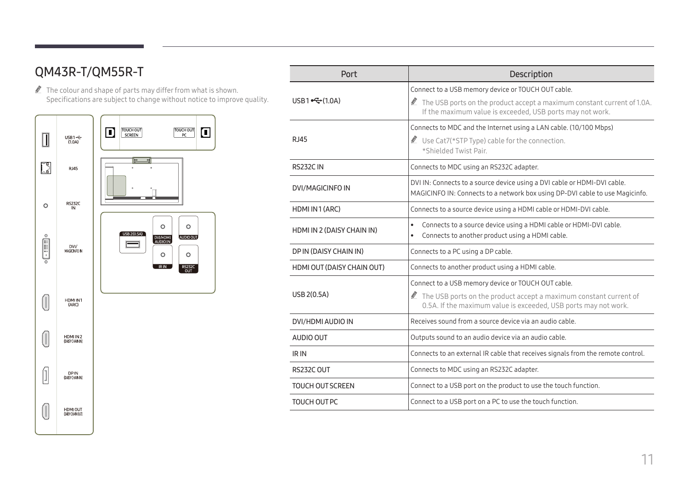### <span id="page-10-0"></span>QM43R-T/QM55R-T

 $\triangle$  The colour and shape of parts may differ from what is shown. Specifications are subject to change without notice to improve quality.



| Port                                                                                                                                                                                                                  | Description                                                                                                                                                                                |  |
|-----------------------------------------------------------------------------------------------------------------------------------------------------------------------------------------------------------------------|--------------------------------------------------------------------------------------------------------------------------------------------------------------------------------------------|--|
| USB1 $\leftarrow (1.0A)$                                                                                                                                                                                              | Connect to a USB memory device or TOUCH OUT cable.<br>The USB ports on the product accept a maximum constant current of 1.0A.<br>If the maximum value is exceeded, USB ports may not work. |  |
| <b>RJ45</b>                                                                                                                                                                                                           | Connects to MDC and the Internet using a LAN cable. (10/100 Mbps)<br>Use Cat7(*STP Type) cable for the connection.<br>*Shielded Twist Pair.                                                |  |
| <b>RS232CIN</b>                                                                                                                                                                                                       | Connects to MDC using an RS232C adapter.                                                                                                                                                   |  |
| <b>DVI/MAGICINFO IN</b>                                                                                                                                                                                               | DVI IN: Connects to a source device using a DVI cable or HDMI-DVI cable.<br>MAGICINFO IN: Connects to a network box using DP-DVI cable to use Magicinfo.                                   |  |
| HDMI IN 1 (ARC)                                                                                                                                                                                                       | Connects to a source device using a HDMI cable or HDMI-DVI cable.                                                                                                                          |  |
| HDMI IN 2 (DAISY CHAIN IN)                                                                                                                                                                                            | Connects to a source device using a HDMI cable or HDMI-DVI cable.<br>$\bullet$<br>Connects to another product using a HDMI cable.                                                          |  |
| DP IN (DAISY CHAIN IN)                                                                                                                                                                                                | Connects to a PC using a DP cable.                                                                                                                                                         |  |
| HDMI OUT (DAISY CHAIN OUT)                                                                                                                                                                                            | Connects to another product using a HDMI cable.                                                                                                                                            |  |
| Connect to a USB memory device or TOUCH OUT cable.<br>USB 2(0.5A)<br>$\triangle$ The USB ports on the product accept a maximum constant current of<br>0.5A. If the maximum value is exceeded, USB ports may not work. |                                                                                                                                                                                            |  |
| DVI/HDMI AUDIO IN                                                                                                                                                                                                     | Receives sound from a source device via an audio cable.                                                                                                                                    |  |
| AUDIO OUT                                                                                                                                                                                                             | Outputs sound to an audio device via an audio cable.                                                                                                                                       |  |
| IR IN                                                                                                                                                                                                                 | Connects to an external IR cable that receives signals from the remote control.                                                                                                            |  |
| RS232C OUT                                                                                                                                                                                                            | Connects to MDC using an RS232C adapter.                                                                                                                                                   |  |
| <b>TOUCH OUT SCREEN</b>                                                                                                                                                                                               | Connect to a USB port on the product to use the touch function.                                                                                                                            |  |
| <b>TOUCH OUT PC</b>                                                                                                                                                                                                   | Connect to a USB port on a PC to use the touch function.                                                                                                                                   |  |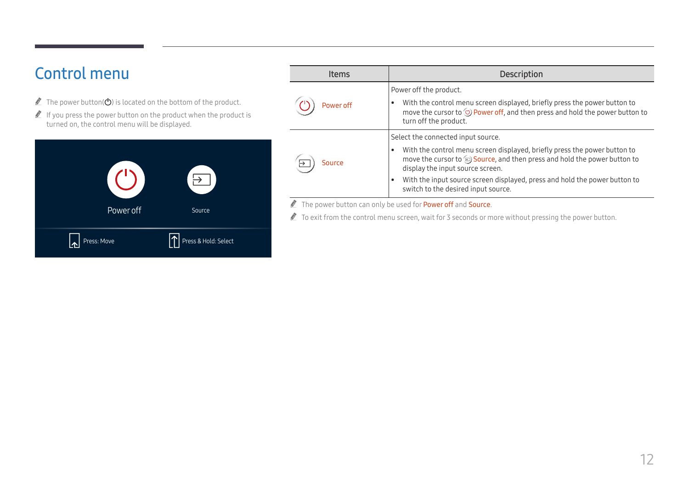# <span id="page-11-0"></span>Control menu

- The power button( $\bigcirc$ ) is located on the bottom of the product.
- $\triangle$  If you press the power button on the product when the product is turned on, the control menu will be displayed.



| <b>Items</b> | Description                                                                                                                                                                                                        |  |  |
|--------------|--------------------------------------------------------------------------------------------------------------------------------------------------------------------------------------------------------------------|--|--|
|              | Power off the product.                                                                                                                                                                                             |  |  |
| Power off    | With the control menu screen displayed, briefly press the power button to<br>$\bullet$<br>move the cursor to $\circlearrowright$ Power off, and then press and hold the power button to<br>turn off the product.   |  |  |
|              | Select the connected input source.                                                                                                                                                                                 |  |  |
| Source       | With the control menu screen displayed, briefly press the power button to<br>$\bullet$<br>move the cursor to $\circledast$ Source, and then press and hold the power button to<br>display the input source screen. |  |  |
|              | With the input source screen displayed, press and hold the power button to<br>$\bullet$<br>switch to the desired input source.                                                                                     |  |  |

The power button can only be used for **Power off** and **Source**.

To exit from the control menu screen, wait for 3 seconds or more without pressing the power button.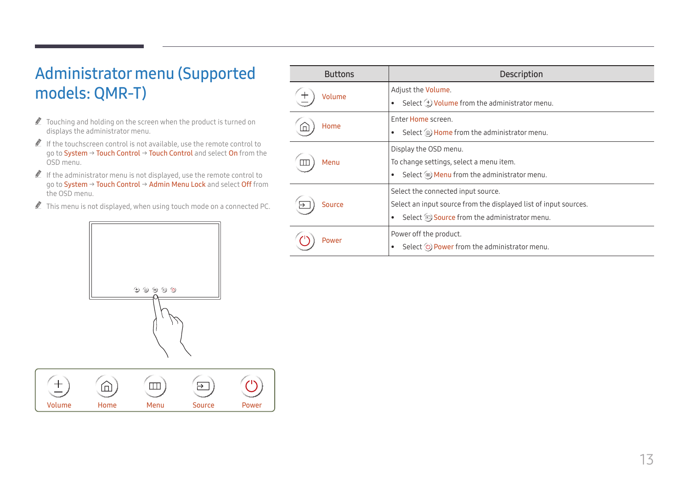# <span id="page-12-0"></span>Administrator menu (Supported models: QMR-T)

- $\triangle$  Touching and holding on the screen when the product is turned on displays the administrator menu.
- $\triangle$  If the touchscreen control is not available, use the remote control to go to System → Touch Control → Touch Control and select On from the OSD menu.
- $\triangle$  If the administrator menu is not displayed, use the remote control to go to System → Touch Control → Admin Menu Lock and select Off from the OSD menu.
- $\triangle$  This menu is not displayed, when using touch mode on a connected PC.



| $\overline{\phantom{0}}$<br>— |      |      |               |       |
|-------------------------------|------|------|---------------|-------|
| Volume                        | Home | Menu | <b>Source</b> | Power |

| <b>Buttons</b> | <b>Description</b>                                                                                                                                                              |
|----------------|---------------------------------------------------------------------------------------------------------------------------------------------------------------------------------|
| Volume         | Adjust the <b>Volume</b> .<br>Select $(\pm)$ Volume from the administrator menu.<br>٠                                                                                           |
| Home           | Enter Home screen.<br>Select (a) Home from the administrator menu.<br>$\bullet$                                                                                                 |
| Menu           | Display the OSD menu.<br>To change settings, select a menu item.<br>Select $\mathbf{w}$ Menu from the administrator menu.<br>٠                                                  |
| Source         | Select the connected input source.<br>Select an input source from the displayed list of input sources.<br>Select $\circledast$ Source from the administrator menu.<br>$\bullet$ |
| Power          | Power off the product.<br>Select (b) Power from the administrator menu.<br>٠                                                                                                    |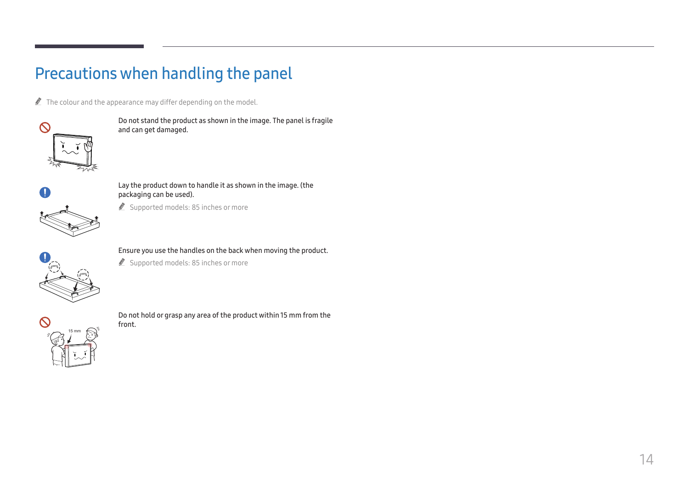# <span id="page-13-0"></span>Precautions when handling the panel

 $\triangle$  The colour and the appearance may differ depending on the model.



Do not stand the product as shown in the image. The panel is fragile and can get damaged.



#### Lay the product down to handle it as shown in the image. (the packaging can be used).

Supported models: 85 inches or more



#### Ensure you use the handles on the back when moving the product.

Supported models: 85 inches or more



Do not hold or grasp any area of the product within 15 mm from the front.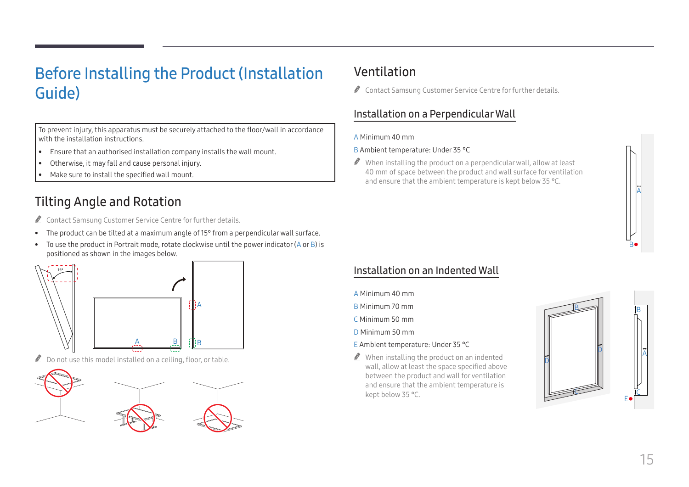# <span id="page-14-0"></span>Before Installing the Product (Installation Guide)

To prevent injury, this apparatus must be securely attached to the floor/wall in accordance with the installation instructions.

- Ensure that an authorised installation company installs the wall mount.
- Otherwise, it may fall and cause personal injury.
- Make sure to install the specified wall mount.

### Tilting Angle and Rotation

Contact Samsung Customer Service Centre for further details.

- The product can be tilted at a maximum angle of 15° from a perpendicular wall surface.
- To use the product in Portrait mode, rotate clockwise until the power indicator (A or B) is positioned as shown in the images below.



 $\triangle$  Do not use this model installed on a ceiling, floor, or table.



### Ventilation

Contact Samsung Customer Service Centre for further details.

### Installation on a Perpendicular Wall

#### A Minimum 40 mm

#### B Ambient temperature: Under 35 °C

 $\triangle$  When installing the product on a perpendicular wall, allow at least 40 mm of space between the product and wall surface for ventilation and ensure that the ambient temperature is kept below 35 °C.



### Installation on an Indented Wall

- A Minimum 40 mm
- B Minimum 70 mm
- C Minimum 50 mm
- D Minimum 50 mm

#### E Ambient temperature: Under 35 °C

 $\triangle$  When installing the product on an indented wall, allow at least the space specified above between the product and wall for ventilation and ensure that the ambient temperature is kept below 35 °C.

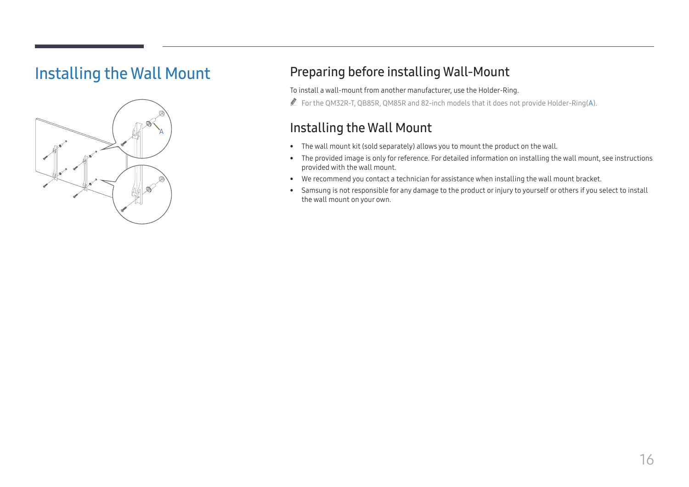## <span id="page-15-0"></span>Installing the Wall Mount



### Preparing before installing Wall-Mount

To install a wall-mount from another manufacturer, use the Holder-Ring.

For the QM32R-T, QB85R, QM85R and 82-inch models that it does not provide Holder-Ring(A).

### Installing the Wall Mount

- The wall mount kit (sold separately) allows you to mount the product on the wall.
- The provided image is only for reference. For detailed information on installing the wall mount, see instructions provided with the wall mount.
- We recommend you contact a technician for assistance when installing the wall mount bracket.
- Samsung is not responsible for any damage to the product or injury to yourself or others if you select to install the wall mount on your own.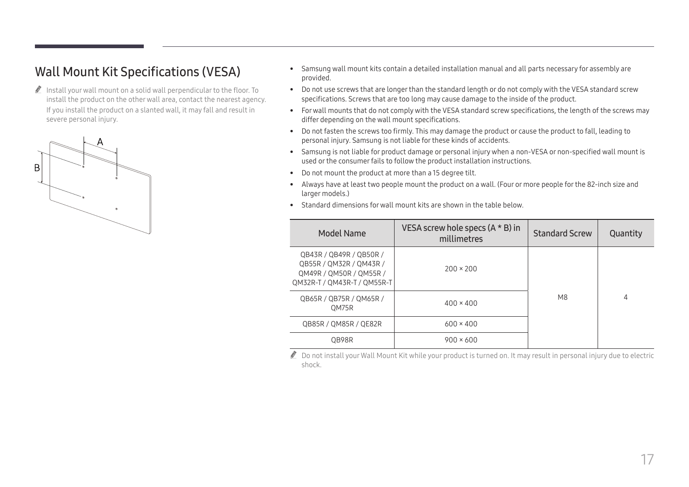### <span id="page-16-0"></span>Wall Mount Kit Specifications (VESA)

 $\triangle$  Install your wall mount on a solid wall perpendicular to the floor. To install the product on the other wall area, contact the nearest agency. If you install the product on a slanted wall, it may fall and result in severe personal injury.



- Samsung wall mount kits contain a detailed installation manual and all parts necessary for assembly are provided.
- Do not use screws that are longer than the standard length or do not comply with the VESA standard screw specifications. Screws that are too long may cause damage to the inside of the product.
- For wall mounts that do not comply with the VESA standard screw specifications, the length of the screws may differ depending on the wall mount specifications.
- Do not fasten the screws too firmly. This may damage the product or cause the product to fall, leading to personal injury. Samsung is not liable for these kinds of accidents.
- Samsung is not liable for product damage or personal injury when a non-VESA or non-specified wall mount is used or the consumer fails to follow the product installation instructions.
- Do not mount the product at more than a 15 degree tilt.
- Always have at least two people mount the product on a wall. (Four or more people for the 82-inch size and larger models.)
- Standard dimensions for wall mount kits are shown in the table below.

| Model Name                                                                                                   | VESA screw hole specs $(A * B)$ in<br>millimetres | <b>Standard Screw</b> | Quantity |
|--------------------------------------------------------------------------------------------------------------|---------------------------------------------------|-----------------------|----------|
| QB43R / QB49R / QB50R /<br>QB55R / QM32R / QM43R /<br>QM49R / QM50R / QM55R /<br>QM32R-T / QM43R-T / QM55R-T | $200 \times 200$                                  |                       |          |
| QB65R / QB75R / QM65R /<br>OM75R                                                                             | $400 \times 400$                                  | M8                    | 4        |
| QB85R / QM85R / QE82R                                                                                        | $600 \times 400$                                  |                       |          |
| OB98R                                                                                                        | $900 \times 600$                                  |                       |          |

 $\bullet$  Do not install your Wall Mount Kit while your product is turned on. It may result in personal injury due to electric shock.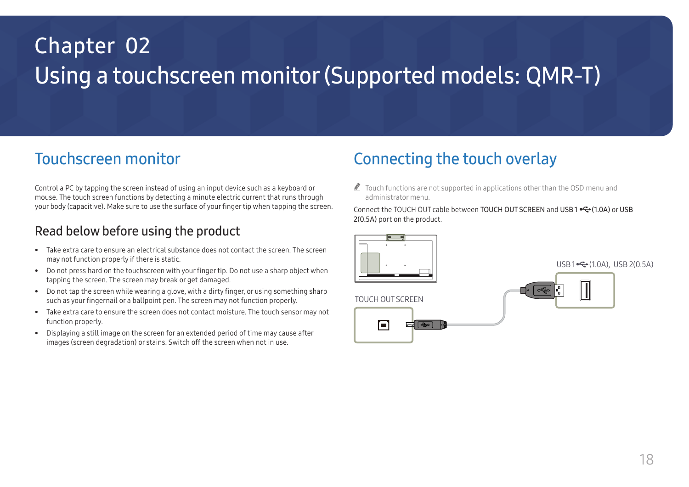# <span id="page-17-0"></span>Using a touchscreen monitor (Supported models: QMR-T) Chapter 02

## Touchscreen monitor

Control a PC by tapping the screen instead of using an input device such as a keyboard or mouse. The touch screen functions by detecting a minute electric current that runs through your body (capacitive). Make sure to use the surface of your finger tip when tapping the screen.

### Read below before using the product

- Take extra care to ensure an electrical substance does not contact the screen. The screen may not function properly if there is static.
- Do not press hard on the touchscreen with your finger tip. Do not use a sharp object when tapping the screen. The screen may break or get damaged.
- Do not tap the screen while wearing a glove, with a dirty finger, or using something sharp such as your fingernail or a ballpoint pen. The screen may not function properly.
- Take extra care to ensure the screen does not contact moisture. The touch sensor may not function properly.
- Displaying a still image on the screen for an extended period of time may cause after images (screen degradation) or stains. Switch off the screen when not in use.

## Connecting the touch overlay

 $\triangle$  Touch functions are not supported in applications other than the OSD menu and administrator menu.

Connect the TOUCH OUT cable between TOUCH OUT SCREEN and USB1 <<a>
•<a>
•<a>
•<a>
•</a>
•</a>
•</a>
•</a>
•</a>
•</a>
•</a>
•</a>
•</a>
•</a>
•</a>
•</a>
•</a>
•</a>
•</a>
•</a>
•</a>
•</a>
•</a>
•</a>
•</a>
•</a>
•</a>
• 2(0.5A) port on the product.



TOUCH OUT SCREEN



 $USB1 \rightarrow 1.04$ , USB 2(0.5A)

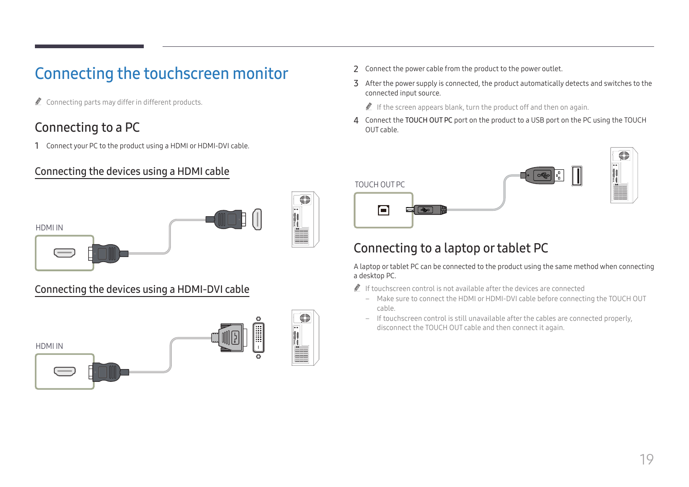# <span id="page-18-0"></span>Connecting the touchscreen monitor

 $\triangle$  Connecting parts may differ in different products.

### Connecting to a PC

1 Connect your PC to the product using a HDMI or HDMI-DVI cable.

### Connecting the devices using a HDMI cable



### Connecting the devices using a HDMI-DVI cable



- 2 Connect the power cable from the product to the power outlet.
- 3 After the power supply is connected, the product automatically detects and switches to the connected input source.

 $\triangle$  If the screen appears blank, turn the product off and then on again.

4 Connect the TOUCH OUT PC port on the product to a USB port on the PC using the TOUCH OUT cable.



### Connecting to a laptop or tablet PC

A laptop or tablet PC can be connected to the product using the same method when connecting a desktop PC.

- $\triangle$  If touchscreen control is not available after the devices are connected
	- Make sure to connect the HDMI or HDMI-DVI cable before connecting the TOUCH OUT cable.
	- If touchscreen control is still unavailable after the cables are connected properly, disconnect the TOUCH OUT cable and then connect it again.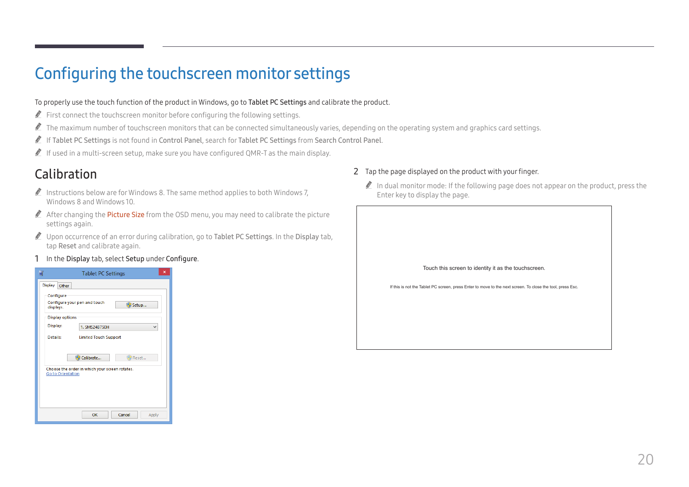# <span id="page-19-0"></span>Configuring the touchscreen monitor settings

#### To properly use the touch function of the product in Windows, go to Tablet PC Settings and calibrate the product.

- $\triangle$  First connect the touchscreen monitor before configuring the following settings.
- $\ell$  The maximum number of touchscreen monitors that can be connected simultaneously varies, depending on the operating system and graphics card settings.
- " If Tablet PC Settings is not found in Control Panel, search for Tablet PC Settings from Search Control Panel.
- If used in a multi-screen setup, make sure you have configured QMR-T as the main display.

### Calibration

- Instructions below are for Windows 8. The same method applies to both Windows 7, Windows 8 and Windows 10.
- $\triangle$  After changing the **Picture Size** from the OSD menu, you may need to calibrate the picture settings again.
- " Upon occurrence of an error during calibration, go to Tablet PC Settings. In the Display tab, tap Reset and calibrate again.
- 1 In the Display tab, select Setup under Configure.



#### 2 Tap the page displayed on the product with your finger.

 $\triangle$  In dual monitor mode: If the following page does not appear on the product, press the Enter key to display the page.

| Touch this screen to identity it as the touchscreen.                                                       |
|------------------------------------------------------------------------------------------------------------|
| If this is not the Tablet PC screen, press Enter to move to the next screen. To close the tool, press Esc. |
|                                                                                                            |
|                                                                                                            |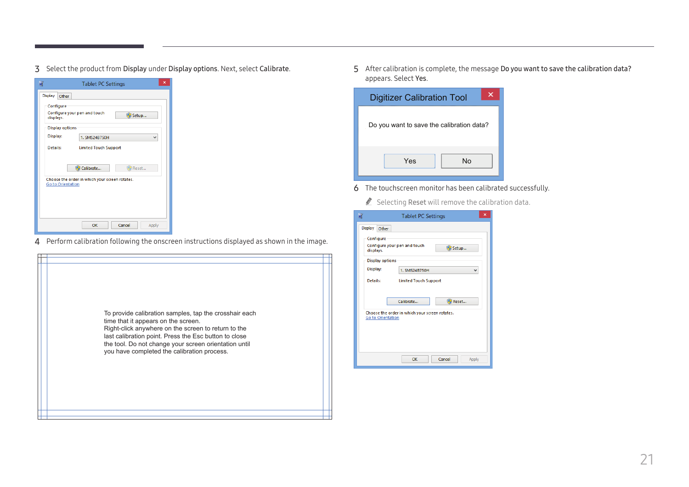3 Select the product from Display under Display options. Next, select Calibrate.

|                          | $\times$<br><b>Tablet PC Settings</b>          |       |  |  |  |
|--------------------------|------------------------------------------------|-------|--|--|--|
| Display<br>Other         |                                                |       |  |  |  |
| Configure<br>displays.   | Configure your pen and touch                   | Setup |  |  |  |
| <b>Display options</b>   |                                                |       |  |  |  |
| Display:                 | 1. SMS24B750H                                  | v     |  |  |  |
| Details:                 | <b>Limited Touch Support</b>                   |       |  |  |  |
|                          | Calibrate                                      | Reset |  |  |  |
| <b>Go to Orientation</b> | Choose the order in which your screen rotates. |       |  |  |  |
|                          |                                                |       |  |  |  |
|                          |                                                |       |  |  |  |
|                          |                                                |       |  |  |  |
|                          | Cancel<br>OK                                   | Apply |  |  |  |

4 Perform calibration following the onscreen instructions displayed as shown in the image.

5 After calibration is complete, the message Do you want to save the calibration data? appears. Select Yes.

| <b>Digitizer Calibration Tool</b>         |
|-------------------------------------------|
| Do you want to save the calibration data? |
| Yes<br>N٥                                 |

- 6 The touchscreen monitor has been calibrated successfully.
	- $\triangle$  Selecting Reset will remove the calibration data.

|                        | <b>Tablet PC Settings</b>                                            | $\overline{\mathsf{x}}$ |
|------------------------|----------------------------------------------------------------------|-------------------------|
| Display<br>Other       |                                                                      |                         |
| Configure<br>displays. | Configure your pen and touch<br>Setup                                |                         |
| <b>Display options</b> |                                                                      |                         |
| Display:               | 1. SMS24B750H<br>v                                                   |                         |
| Details:               | <b>Limited Touch Support</b>                                         |                         |
| Go to Orientation      | Reset<br>Calibrate<br>Choose the order in which your screen rotates. |                         |
|                        | OK<br>Cancel<br>Apply                                                |                         |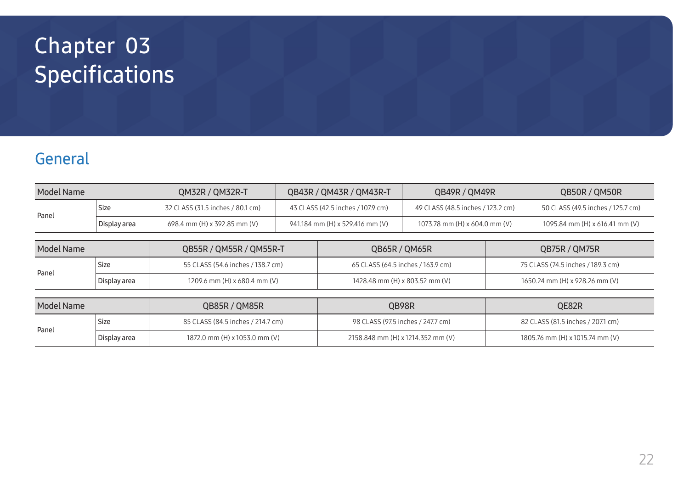# <span id="page-21-0"></span>Specifications Chapter 03

# General

| Model Name |              | QM32R / QM32R-T                  | QB43R / QM43R / QM43R-T           | QB49R / QM49R                     | QB50R / QM50R                     |
|------------|--------------|----------------------------------|-----------------------------------|-----------------------------------|-----------------------------------|
| Panel      | <b>Size</b>  | 32 CLASS (31.5 inches / 80.1 cm) | 43 CLASS (42.5 inches / 107.9 cm) | 49 CLASS (48.5 inches / 123.2 cm) | 50 CLASS (49.5 inches / 125.7 cm) |
|            | Display area | 698.4 mm (H) x 392.85 mm (V)     | 941.184 mm (H) x 529.416 mm (V)   | 1073.78 mm (H) x 604.0 mm (V)     | 1095.84 mm (H) x 616.41 mm (V)    |

| Model Name |              | QB55R / QM55R / QM55R-T           | QB65R / QM65R                     | QB75R / QM75R                     |  |
|------------|--------------|-----------------------------------|-----------------------------------|-----------------------------------|--|
| Panel      | Size         | 55 CLASS (54.6 inches / 138.7 cm) | 65 CLASS (64.5 inches / 163.9 cm) | 75 CLASS (74.5 inches / 189.3 cm) |  |
|            | Display area | 1209.6 mm (H) x 680.4 mm (V)      | 1428.48 mm (H) x 803.52 mm (V)    | 1650.24 mm (H) x 928.26 mm (V)    |  |

| Model Name |              | QB85R / QM85R                     | QB98R                             | QE82R                             |
|------------|--------------|-----------------------------------|-----------------------------------|-----------------------------------|
| Panel      | <b>Size</b>  | 85 CLASS (84.5 inches / 214.7 cm) | 98 CLASS (97.5 inches / 247.7 cm) | 82 CLASS (81.5 inches / 207.1 cm) |
|            | Display area | 1872.0 mm (H) x 1053.0 mm (V)     | 2158.848 mm (H) x 1214.352 mm (V) | 1805.76 mm (H) x 1015.74 mm (V)   |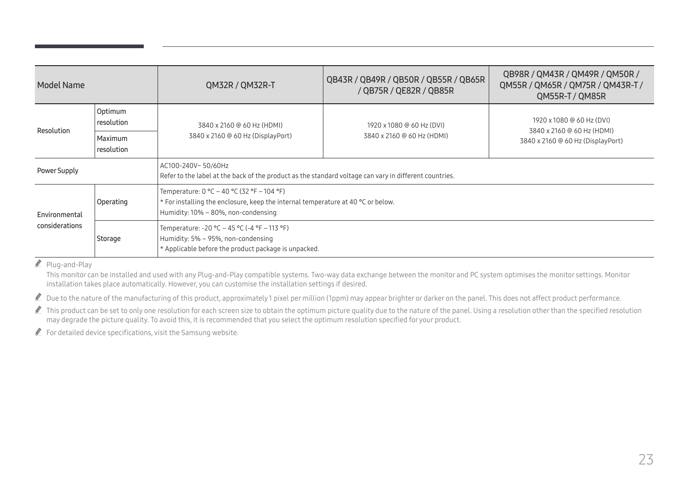| Model Name     |                              | QM32R / QM32R-T                                                                                                                                                         | QB43R / QB49R / QB50R / QB55R / QB65R<br>/ QB75R / QE82R / QB85R | QB98R / QM43R / QM49R / QM50R /<br>QM55R / QM65R / QM75R / QM43R-T /<br>QM55R-T / QM85R      |  |  |
|----------------|------------------------------|-------------------------------------------------------------------------------------------------------------------------------------------------------------------------|------------------------------------------------------------------|----------------------------------------------------------------------------------------------|--|--|
|                | Optimum<br>resolution        | 3840 x 2160 @ 60 Hz (HDMI)                                                                                                                                              | 1920 x 1080 @ 60 Hz (DVI)                                        | 1920 x 1080 @ 60 Hz (DVI)<br>3840 x 2160 @ 60 Hz (HDMI)<br>3840 x 2160 @ 60 Hz (DisplayPort) |  |  |
| Resolution     | <b>Maximum</b><br>resolution | 3840 x 2160 @ 60 Hz (DisplayPort)                                                                                                                                       | 3840 x 2160 @ 60 Hz (HDMI)                                       |                                                                                              |  |  |
| Power Supply   |                              | AC100-240V~50/60Hz<br>Refer to the label at the back of the product as the standard voltage can vary in different countries.                                            |                                                                  |                                                                                              |  |  |
| Environmental  | Operating                    | Temperature: $0 °C - 40 °C$ (32 °F - 104 °F)<br>* For installing the enclosure, keep the internal temperature at 40 °C or below.<br>Humidity: 10% - 80%, non-condensing |                                                                  |                                                                                              |  |  |
| considerations | Storage                      | Temperature: -20 °C - 45 °C (-4 °F - 113 °F)<br>Humidity: 5% - 95%, non-condensing<br>* Applicable before the product package is unpacked.                              |                                                                  |                                                                                              |  |  |

 $\triangle$  Plug-and-Play

This monitor can be installed and used with any Plug-and-Play compatible systems. Two-way data exchange between the monitor and PC system optimises the monitor settings. Monitor installation takes place automatically. However, you can customise the installation settings if desired.

Due to the nature of the manufacturing of this product, approximately 1 pixel per million (1ppm) may appear brighter or darker on the panel. This does not affect product performance.

This product can be set to only one resolution for each screen size to obtain the optimum picture quality due to the nature of the panel. Using a resolution other than the specified resolution may degrade the picture quality. To avoid this, it is recommended that you select the optimum resolution specified for your product.

 $\triangle$  For detailed device specifications, visit the Samsung website.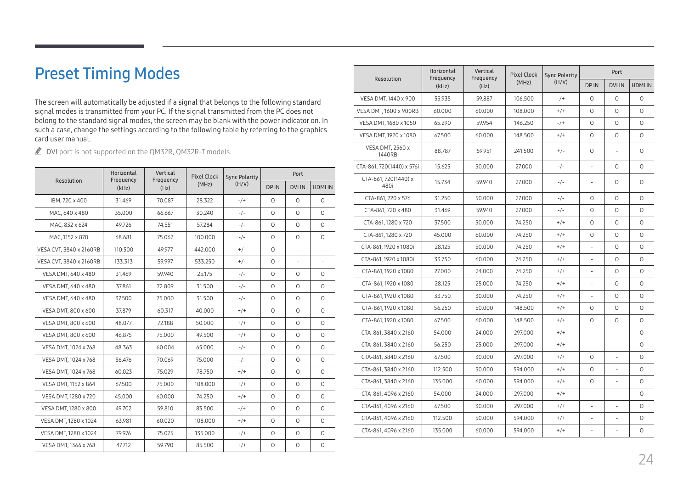# <span id="page-23-0"></span>Preset Timing Modes

The screen will automatically be adjusted if a signal that belongs to the following standard signal modes is transmitted from your PC. If the signal transmitted from the PC does not belong to the standard signal modes, the screen may be blank with the power indicator on. In such a case, change the settings according to the following table by referring to the graphics card user manual.

DVI port is not supported on the QM32R, QM32R-T models.

| Resolution              | Horizontal<br>Frequency | Vertical<br>Frequency | <b>Pixel Clock</b> | <b>Sync Polarity</b> |             | Port          |           |  |
|-------------------------|-------------------------|-----------------------|--------------------|----------------------|-------------|---------------|-----------|--|
|                         | (kHz)                   | (Hz)                  | (MHz)              | (H/V)                | <b>DPIN</b> | <b>DVI IN</b> | HDMI IN   |  |
| IBM, 720 x 400          | 31.469                  | 70.087                | 28.322             | $-/+$                | $\Omega$    | $\Omega$      | $\circ$   |  |
| MAC. 640 x 480          | 35.000                  | 66.667                | 30.240             | $-/-$                | $\circ$     | $\circ$       | $\circ$   |  |
| MAC, 832 x 624          | 49.726                  | 74.551                | 57.284             | $-/-$                | $\Omega$    | $\Omega$      | $\Omega$  |  |
| MAC. 1152 x 870         | 68.681                  | 75.062                | 100.000            | $-/-$                | $\circ$     | $\circ$       | $\circ$   |  |
| VESA CVT, 3840 x 2160RB | 110.500                 | 49.977                | 442.000            | $+/-$                | $\Omega$    | ÷             | ٠         |  |
| VESA CVT, 3840 x 2160RB | 133.313                 | 59.997                | 533.250            | $+/-$                | $\circ$     | $\sim$        | $\bar{a}$ |  |
| VESA DMT, 640 x 480     | 31.469                  | 59.940                | 25.175             | $-/-$                | $\Omega$    | $\Omega$      | $\Omega$  |  |
| VESA DMT, 640 x 480     | 37.861                  | 72.809                | 31.500             | $-/-$                | $\Omega$    | $\Omega$      | $\Omega$  |  |
| VESA DMT, 640 x 480     | 37.500                  | 75,000                | 31.500             | $-/-$                | $\Omega$    | $\Omega$      | $\Omega$  |  |
| VESA DMT, 800 x 600     | 37.879                  | 60.317                | 40.000             | $+/+$                | $\Omega$    | $\Omega$      | $\Omega$  |  |
| VESA DMT, 800 x 600     | 48.077                  | 72.188                | 50.000             | $^{+/+}$             | $\circ$     | $\circ$       | $\circ$   |  |
| VESA DMT, 800 x 600     | 46.875                  | 75,000                | 49.500             | $+/+$                | $\Omega$    | $\Omega$      | $\Omega$  |  |
| VESA DMT, 1024 x 768    | 48.363                  | 60.004                | 65.000             | $-/-$                | $\Omega$    | $\Omega$      | $\Omega$  |  |
| VESA DMT, 1024 x 768    | 56.476                  | 70.069                | 75,000             | $-/-$                | $\Omega$    | $\Omega$      | $\Omega$  |  |
| VESA DMT, 1024 x 768    | 60.023                  | 75.029                | 78.750             | $+/+$                | $\circ$     | $\Omega$      | $\circ$   |  |
| VESA DMT, 1152 x 864    | 67.500                  | 75,000                | 108,000            | $+/+$                | $\circ$     | $\circ$       | $\circ$   |  |
| VESA DMT, 1280 x 720    | 45.000                  | 60.000                | 74.250             | $+/+$                | $\Omega$    | $\Omega$      | $\circ$   |  |
| VESA DMT, 1280 x 800    | 49.702                  | 59.810                | 83.500             | $-/+$                | $\circ$     | $\circ$       | $\circ$   |  |
| VESA DMT, 1280 x 1024   | 63.981                  | 60.020                | 108,000            | $+/+$                | $\Omega$    | $\Omega$      | $\Omega$  |  |
| VESA DMT, 1280 x 1024   | 79.976                  | 75.025                | 135.000            | $^{+/+}$             | $\circ$     | $\circ$       | $\circ$   |  |
| VESA DMT, 1366 x 768    | 47.712                  | 59.790                | 85.500             | $+/+$                | $\circ$     | $\circ$       | $\circ$   |  |

| Resolution                        | Horizontal<br>Frequency<br>(kHz) | Vertical<br>Frequency<br>(Hz) | <b>Pixel Clock</b><br>(MHz) | <b>Sync Polarity</b><br>(H/V) | Port                     |               |                |
|-----------------------------------|----------------------------------|-------------------------------|-----------------------------|-------------------------------|--------------------------|---------------|----------------|
|                                   |                                  |                               |                             |                               | <b>DPIN</b>              | <b>DVI IN</b> | <b>HDMI IN</b> |
| VESA DMT, 1440 x 900              | 55.935                           | 59.887                        | 106.500                     | $-/+$                         | $\circ$                  | 0             | 0              |
| VESA DMT, 1600 x 900RB            | 60.000                           | 60.000                        | 108.000                     | $+/+$                         | $\circ$                  | $\circ$       | $\circ$        |
| VESA DMT, 1680 x 1050             | 65.290                           | 59.954                        | 146.250                     | $-/+$                         | $\circ$                  | 0             | 0              |
| VESA DMT, 1920 x 1080             | 67.500                           | 60.000                        | 148.500                     | $+/+$                         | $\circ$                  | $\circ$       | $\Omega$       |
| <b>VESA DMT, 2560 x</b><br>1440RB | 88.787                           | 59.951                        | 241.500                     | $+/-$                         | $\Omega$                 |               | $\Omega$       |
| CTA-861, 720(1440) x 576i         | 15.625                           | 50.000                        | 27.000                      | $-/-$                         |                          | 0             | $\Omega$       |
| CTA-861, 720(1440) x<br>480i      | 15.734                           | 59.940                        | 27,000                      | $-/-$                         | ÷                        | $\Omega$      | $\Omega$       |
| CTA-861, 720 x 576                | 31.250                           | 50.000                        | 27.000                      | $-/-$                         | $\circ$                  | $\Omega$      | $\Omega$       |
| CTA-861, 720 x 480                | 31.469                           | 59.940                        | 27.000                      | $-/-$                         | $\circ$                  | 0             | $\Omega$       |
| CTA-861, 1280 x 720               | 37.500                           | 50,000                        | 74.250                      | $+/+$                         | $\circ$                  | 0             | 0              |
| CTA-861, 1280 x 720               | 45.000                           | 60.000                        | 74.250                      | $+/+$                         | $\circ$                  | $\circ$       | $\circ$        |
| CTA-861, 1920 x 1080i             | 28.125                           | 50.000                        | 74.250                      | $^{+/+}$                      |                          | 0             | $\circ$        |
| CTA-861, 1920 x 1080i             | 33.750                           | 60.000                        | 74.250                      | $+/+$                         |                          | 0             | $\Omega$       |
| CTA-861, 1920 x 1080              | 27.000                           | 24.000                        | 74.250                      | $+/+$                         |                          | 0             | $\Omega$       |
| CTA-861, 1920 x 1080              | 28.125                           | 25,000                        | 74.250                      | $+/+$                         | ä,                       | 0             | $\circ$        |
| CTA-861, 1920 x 1080              | 33.750                           | 30.000                        | 74.250                      | $^{+/+}$                      |                          | $\circ$       | $\circ$        |
| CTA-861, 1920 x 1080              | 56.250                           | 50.000                        | 148.500                     | $+/+$                         | 0                        | 0             | $\circ$        |
| CTA-861, 1920 x 1080              | 67.500                           | 60.000                        | 148.500                     | $+/+$                         | $\circ$                  | 0             | $\circ$        |
| CTA-861, 3840 x 2160              | 54.000                           | 24,000                        | 297,000                     | $+/+$                         | $\overline{\phantom{a}}$ | L,            | 0              |
| CTA-861, 3840 x 2160              | 56.250                           | 25,000                        | 297,000                     | $+/+$                         | ä,                       | L,            | $\circ$        |
| CTA-861, 3840 x 2160              | 67.500                           | 30.000                        | 297.000                     | $^{+/+}$                      | $\circ$                  |               | 0              |
| CTA-861, 3840 x 2160              | 112.500                          | 50.000                        | 594.000                     | $+/+$                         | $\circ$                  | L.            | 0              |
| CTA-861, 3840 x 2160              | 135.000                          | 60.000                        | 594.000                     | $+/+$                         | $\circ$                  |               | $\Omega$       |
| CTA-861, 4096 x 2160              | 54.000                           | 24,000                        | 297,000                     | $+/+$                         | ÷,                       | L,            | $\circ$        |
| CTA-861, 4096 x 2160              | 67.500                           | 30.000                        | 297.000                     | $^{+/+}$                      |                          | L,            | $\circ$        |
| CTA-861, 4096 x 2160              | 112.500                          | 50.000                        | 594.000                     | $+/+$                         | L.                       | L.            | $\circ$        |
| CTA-861, 4096 x 2160              | 135.000                          | 60.000                        | 594.000                     | $+/+$                         | ÷,                       | L.            | $\circ$        |